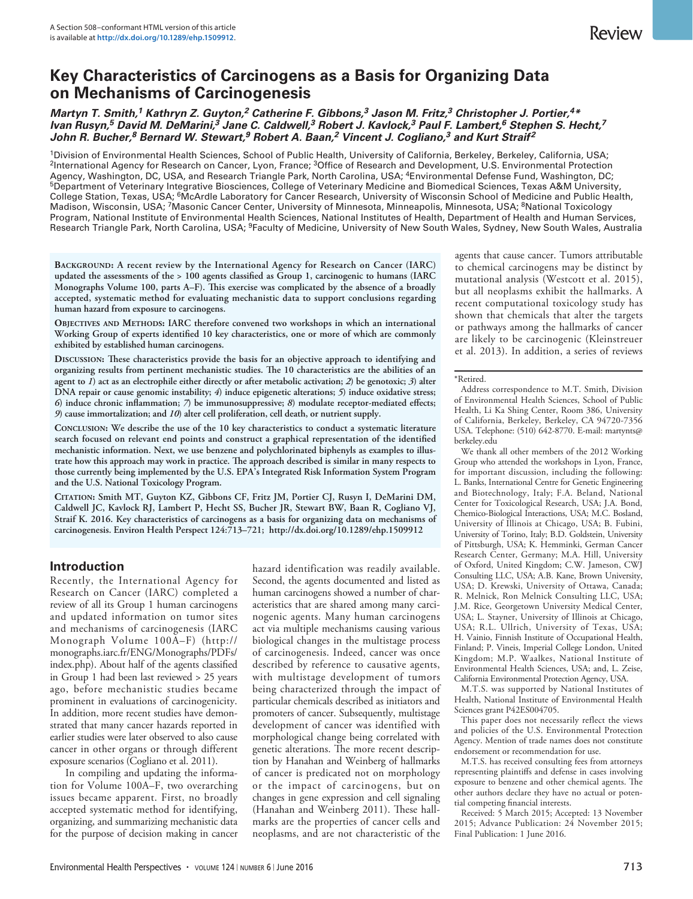*Martyn T. Smith,1 Kathryn Z. Guyton,2 Catherine F. Gibbons,3 Jason M. Fritz,3 Christopher J. Portier,4\* Ivan Rusyn,5 David M. DeMarini,3 Jane C. Caldwell,3 Robert J. Kavlock,3 Paul F. Lambert,6 Stephen S. Hecht,7 John R. Bucher,8 Bernard W. Stewart,9 Robert A. Baan,2 Vincent J. Cogliano,3 and Kurt Straif <sup>2</sup>*

<sup>1</sup>Division of Environmental Health Sciences, School of Public Health, University of California, Berkeley, Berkeley, California, USA;<br><sup>2</sup>International Agency for Research on Cancer, Lyon, France; <sup>3</sup>Office of Research and Agency, Washington, DC, USA, and Research Triangle Park, North Carolina, USA; <sup>4</sup>Environmental Defense Fund, Washington, DC;<br><sup>5</sup>Department of Veterinary Integrative Biosciences, College of Veterinary Medicine and Biomedica College Station, Texas, USA; 6McArdle Laboratory for Cancer Research, University of Wisconsin School of Medicine and Public Health, Madison, Wisconsin, USA; 7Masonic Cancer Center, University of Minnesota, Minneapolis, Minnesota, USA; <sup>8</sup>National Toxicology Program, National Institute of Environmental Health Sciences, National Institutes of Health, Department of Health and Human Services, Research Triangle Park, North Carolina, USA; 9Faculty of Medicine, University of New South Wales, Sydney, New South Wales, Australia

**Background: A recent review by the International Agency for Research on Cancer (IARC) updated the assessments of the > 100 agents classified as Group 1, carcinogenic to humans (IARC Monographs Volume 100, parts A–F). This exercise was complicated by the absence of a broadly accepted, systematic method for evaluating mechanistic data to support conclusions regarding human hazard from exposure to carcinogens.**

**Objectives and Methods: IARC therefore convened two workshops in which an international Working Group of experts identified 10 key characteristics, one or more of which are commonly exhibited by established human carcinogens.**

**Discussion: These characteristics provide the basis for an objective approach to identifying and organizing results from pertinent mechanistic studies. The 10 characteristics are the abilities of an agent to** *1***) act as an electrophile either directly or after metabolic activation;** *2***) be genotoxic;** *3***) alter DNA repair or cause genomic instability;** *4***) induce epigenetic alterations;** *5***) induce oxidative stress;**  *6***) induce chronic inflammation;** *7***) be immunosuppressive;** *8***) modulate receptor-mediated effects;** *9***) cause immortalization; and** *10***) alter cell proliferation, cell death, or nutrient supply.**

**Conclusion: We describe the use of the 10 key characteristics to conduct a systematic literature search focused on relevant end points and construct a graphical representation of the identified mechanistic information. Next, we use benzene and polychlorinated biphenyls as examples to illustrate how this approach may work in practice. The approach described is similar in many respects to those currently being implemented by the U.S. EPA's Integrated Risk Information System Program and the U.S. National Toxicology Program.**

**Citation: Smith MT, Guyton KZ, Gibbons CF, Fritz JM, Portier CJ, Rusyn I, DeMarini DM, Caldwell JC, Kavlock RJ, Lambert P, Hecht SS, Bucher JR, Stewart BW, Baan R, Cogliano VJ, Straif K. 2016. Key characteristics of carcinogens as a basis for organizing data on mechanisms of carcinogenesis. Environ Health Perspect 124:713–721; http://dx.doi.org/10.1289/ehp.1509912**

### **Introduction**

Recently, the International Agency for Research on Cancer (IARC) completed a review of all its Group 1 human carcinogens and updated information on tumor sites and mechanisms of carcinogenesis (IARC Monograph Volume 100A–F) (http:// monographs.iarc.fr/ENG/Monographs/PDFs/ index.php). About half of the agents classified in Group 1 had been last reviewed > 25 years ago, before mechanistic studies became prominent in evaluations of carcinogenicity. In addition, more recent studies have demonstrated that many cancer hazards reported in earlier studies were later observed to also cause cancer in other organs or through different exposure scenarios (Cogliano et al. 2011).

In compiling and updating the information for Volume 100A–F, two overarching issues became apparent. First, no broadly accepted systematic method for identifying, organizing, and summarizing mechanistic data for the purpose of decision making in cancer

hazard identification was readily available. Second, the agents documented and listed as human carcinogens showed a number of characteristics that are shared among many carcinogenic agents. Many human carcinogens act via multiple mechanisms causing various biological changes in the multistage process of carcinogenesis. Indeed, cancer was once described by reference to causative agents, with multistage development of tumors being characterized through the impact of particular chemicals described as initiators and promoters of cancer. Subsequently, multistage development of cancer was identified with morphological change being correlated with genetic alterations. The more recent description by Hanahan and Weinberg of hallmarks of cancer is predicated not on morphology or the impact of carcinogens, but on changes in gene expression and cell signaling (Hanahan and Weinberg 2011). These hallmarks are the properties of cancer cells and neoplasms, and are not characteristic of the agents that cause cancer. Tumors attributable to chemical carcinogens may be distinct by mutational analysis (Westcott et al. 2015), but all neoplasms exhibit the hallmarks. A recent computational toxicology study has shown that chemicals that alter the targets or pathways among the hallmarks of cancer are likely to be carcinogenic (Kleinstreuer et al. 2013). In addition, a series of reviews

#### \*Retired.

Address correspondence to M.T. Smith, Division of Environmental Health Sciences, School of Public Health, Li Ka Shing Center, Room 386, University of California, Berkeley, Berkeley, CA 94720-7356 USA. Telephone: (510) 642-8770. E-mail: martynts@ berkeley.edu

We thank all other members of the 2012 Working Group who attended the workshops in Lyon, France, for important discussion, including the following: L. Banks, International Centre for Genetic Engineering and Biotechnology, Italy; F.A. Beland, National Center for Toxicological Research, USA; J.A. Bond, Chemico-Biological Interactions, USA; M.C. Bosland, University of Illinois at Chicago, USA; B. Fubini, University of Torino, Italy; B.D. Goldstein, University of Pittsburgh, USA; K. Hemminki, German Cancer Research Center, Germany; M.A. Hill, University of Oxford, United Kingdom; C.W. Jameson, CWJ Consulting LLC, USA; A.B. Kane, Brown University, USA; D. Krewski, University of Ottawa, Canada; R. Melnick, Ron Melnick Consulting LLC, USA; J.M. Rice, Georgetown University Medical Center, USA; L. Stayner, University of Illinois at Chicago, USA; R.L. Ullrich, University of Texas, USA; H. Vainio, Finnish Institute of Occupational Health, Finland; P. Vineis, Imperial College London, United Kingdom; M.P. Waalkes, National Institute of Environmental Health Sciences, USA; and, L. Zeise, California Environmental Protection Agency, USA.

M.T.S. was supported by National Institutes of Health, National Institute of Environmental Health Sciences grant P42ES004705.

This paper does not necessarily reflect the views and policies of the U.S. Environmental Protection Agency. Mention of trade names does not constitute endorsement or recommendation for use.

M.T.S. has received consulting fees from attorneys representing plaintiffs and defense in cases involving exposure to benzene and other chemical agents. The other authors declare they have no actual or potential competing financial interests.

Received: 5 March 2015; Accepted: 13 November 2015; Advance Publication: 24 November 2015; Final Publication: 1 June 2016.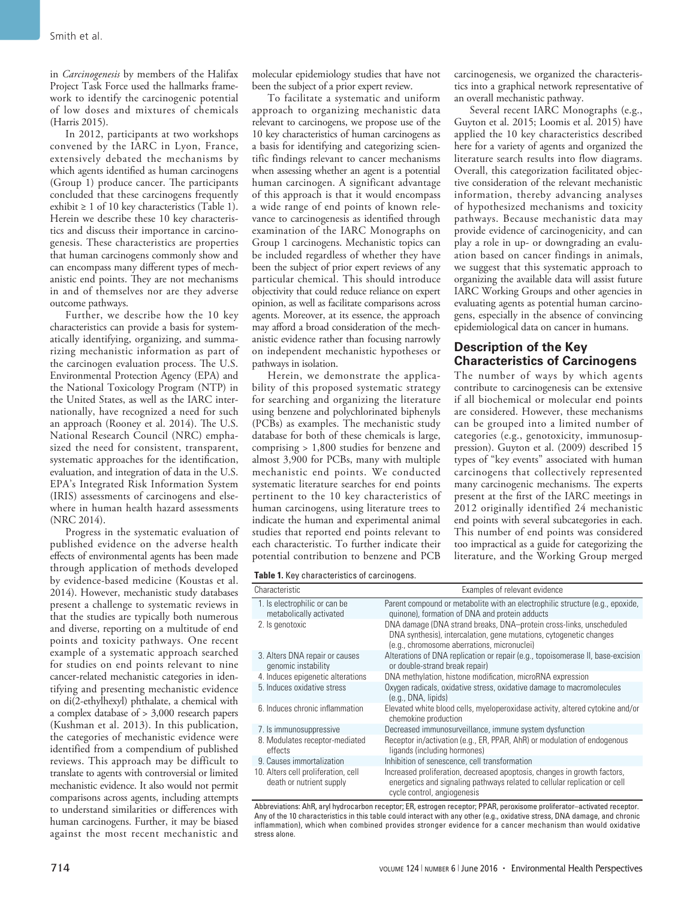in *Carcinogenesis* by members of the Halifax Project Task Force used the hallmarks framework to identify the carcinogenic potential of low doses and mixtures of chemicals (Harris 2015).

In 2012, participants at two workshops convened by the IARC in Lyon, France, extensively debated the mechanisms by which agents identified as human carcinogens (Group 1) produce cancer. The participants concluded that these carcinogens frequently exhibit  $\geq 1$  of 10 key characteristics (Table 1). Herein we describe these 10 key characteristics and discuss their importance in carcinogenesis. These characteristics are properties that human carcinogens commonly show and can encompass many different types of mechanistic end points. They are not mechanisms in and of themselves nor are they adverse outcome pathways.

Further, we describe how the 10 key characteristics can provide a basis for systematically identifying, organizing, and summarizing mechanistic information as part of the carcinogen evaluation process. The U.S. Environmental Protection Agency (EPA) and the National Toxicology Program (NTP) in the United States, as well as the IARC internationally, have recognized a need for such an approach (Rooney et al. 2014). The U.S. National Research Council (NRC) emphasized the need for consistent, transparent, systematic approaches for the identification, evaluation, and integration of data in the U.S. EPA's Integrated Risk Information System (IRIS) assessments of carcinogens and elsewhere in human health hazard assessments (NRC 2014).

Progress in the systematic evaluation of published evidence on the adverse health effects of environmental agents has been made through application of methods developed by evidence-based medicine (Koustas et al. 2014). However, mechanistic study databases present a challenge to systematic reviews in that the studies are typically both numerous and diverse, reporting on a multitude of end points and toxicity pathways. One recent example of a systematic approach searched for studies on end points relevant to nine cancer-related mechanistic categories in identifying and presenting mechanistic evidence on di(2-ethylhexyl) phthalate, a chemical with a complex database of > 3,000 research papers (Kushman et al. 2013). In this publication, the categories of mechanistic evidence were identified from a compendium of published reviews. This approach may be difficult to translate to agents with controversial or limited mechanistic evidence. It also would not permit comparisons across agents, including attempts to understand similarities or differences with human carcinogens. Further, it may be biased against the most recent mechanistic and

molecular epidemiology studies that have not been the subject of a prior expert review.

To facilitate a systematic and uniform approach to organizing mechanistic data relevant to carcinogens, we propose use of the 10 key characteristics of human carcinogens as a basis for identifying and categorizing scientific findings relevant to cancer mechanisms when assessing whether an agent is a potential human carcinogen. A significant advantage of this approach is that it would encompass a wide range of end points of known relevance to carcinogenesis as identified through examination of the IARC Monographs on Group 1 carcinogens. Mechanistic topics can be included regardless of whether they have been the subject of prior expert reviews of any particular chemical. This should introduce objectivity that could reduce reliance on expert opinion, as well as facilitate comparisons across agents. Moreover, at its essence, the approach may afford a broad consideration of the mechanistic evidence rather than focusing narrowly on independent mechanistic hypotheses or pathways in isolation.

Herein, we demonstrate the applicability of this proposed systematic strategy for searching and organizing the literature using benzene and polychlorinated biphenyls (PCBs) as examples. The mechanistic study database for both of these chemicals is large, comprising > 1,800 studies for benzene and almost 3,900 for PCBs, many with multiple mechanistic end points. We conducted systematic literature searches for end points pertinent to the 10 key characteristics of human carcinogens, using literature trees to indicate the human and experimental animal studies that reported end points relevant to each characteristic. To further indicate their potential contribution to benzene and PCB

carcinogenesis, we organized the characteristics into a graphical network representative of an overall mechanistic pathway.

Several recent IARC Monographs (e.g., Guyton et al. 2015; Loomis et al. 2015) have applied the 10 key characteristics described here for a variety of agents and organized the literature search results into flow diagrams. Overall, this categorization facilitated objective consideration of the relevant mechanistic information, thereby advancing analyses of hypothesized mechanisms and toxicity pathways. Because mechanistic data may provide evidence of carcinogenicity, and can play a role in up- or downgrading an evaluation based on cancer findings in animals, we suggest that this systematic approach to organizing the available data will assist future IARC Working Groups and other agencies in evaluating agents as potential human carcinogens, especially in the absence of convincing epidemiological data on cancer in humans.

# **Description of the Key Characteristics of Carcinogens**

The number of ways by which agents contribute to carcinogenesis can be extensive if all biochemical or molecular end points are considered. However, these mechanisms can be grouped into a limited number of categories (e.g., genotoxicity, immunosuppression). Guyton et al. (2009) described 15 types of "key events" associated with human carcinogens that collectively represented many carcinogenic mechanisms. The experts present at the first of the IARC meetings in 2012 originally identified 24 mechanistic end points with several subcategories in each. This number of end points was considered too impractical as a guide for categorizing the literature, and the Working Group merged

**Table 1.** Key characteristics of carcinogens.

| Characteristic                                                  | Examples of relevant evidence                                                                                                                                                            |
|-----------------------------------------------------------------|------------------------------------------------------------------------------------------------------------------------------------------------------------------------------------------|
| 1. Is electrophilic or can be<br>metabolically activated        | Parent compound or metabolite with an electrophilic structure (e.g., epoxide,<br>quinone), formation of DNA and protein adducts                                                          |
| 2. Is genotoxic                                                 | DNA damage (DNA strand breaks, DNA-protein cross-links, unscheduled<br>DNA synthesis), intercalation, gene mutations, cytogenetic changes<br>(e.g., chromosome aberrations, micronuclei) |
| 3. Alters DNA repair or causes<br>genomic instability           | Alterations of DNA replication or repair (e.g., topoisomerase II, base-excision<br>or double-strand break repair)                                                                        |
| 4. Induces epigenetic alterations                               | DNA methylation, histone modification, microRNA expression                                                                                                                               |
| 5. Induces oxidative stress                                     | Oxygen radicals, oxidative stress, oxidative damage to macromolecules<br>(e.g., DNA, lipids)                                                                                             |
| 6. Induces chronic inflammation                                 | Elevated white blood cells, myeloperoxidase activity, altered cytokine and/or<br>chemokine production                                                                                    |
| 7. Is immunosuppressive                                         | Decreased immunosurveillance, immune system dysfunction                                                                                                                                  |
| 8. Modulates receptor-mediated<br>effects                       | Receptor in/activation (e.g., ER, PPAR, AhR) or modulation of endogenous<br>ligands (including hormones)                                                                                 |
| 9. Causes immortalization                                       | Inhibition of senescence, cell transformation                                                                                                                                            |
| 10. Alters cell proliferation, cell<br>death or nutrient supply | Increased proliferation, decreased apoptosis, changes in growth factors,<br>energetics and signaling pathways related to cellular replication or cell<br>cycle control, angiogenesis     |

Abbreviations: AhR, aryl hydrocarbon receptor; ER, estrogen receptor; PPAR, peroxisome proliferator–activated receptor. Any of the 10 characteristics in this table could interact with any other (e.g., oxidative stress, DNA damage, and chronic inflammation), which when combined provides stronger evidence for a cancer mechanism than would oxidative stress alone.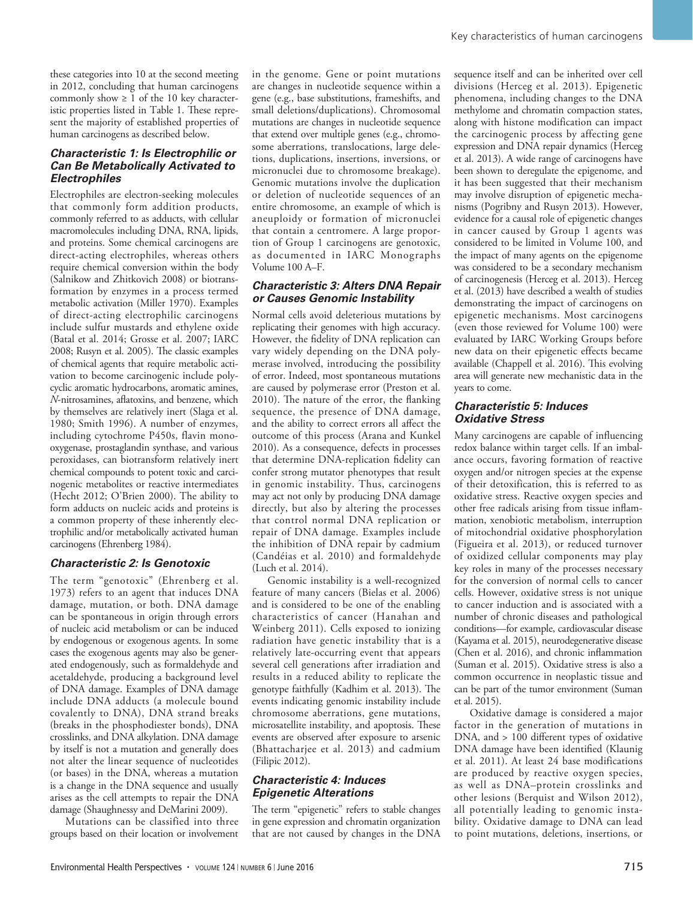these categories into 10 at the second meeting in 2012, concluding that human carcinogens commonly show  $\geq 1$  of the 10 key characteristic properties listed in Table 1. These represent the majority of established properties of human carcinogens as described below.

### *Characteristic 1: Is Electrophilic or Can Be Metabolically Activated to Electrophiles*

Electrophiles are electron-seeking molecules that commonly form addition products, commonly referred to as adducts, with cellular macromolecules including DNA, RNA, lipids, and proteins. Some chemical carcinogens are direct-acting electrophiles, whereas others require chemical conversion within the body (Salnikow and Zhitkovich 2008) or biotransformation by enzymes in a process termed metabolic activation (Miller 1970). Examples of direct-acting electrophilic carcinogens include sulfur mustards and ethylene oxide (Batal et al. 2014; Grosse et al. 2007; IARC 2008; Rusyn et al. 2005). The classic examples of chemical agents that require metabolic activation to become carcinogenic include polycyclic aromatic hydrocarbons, aromatic amines, *N*-nitrosamines, aflatoxins, and benzene, which by themselves are relatively inert (Slaga et al. 1980; Smith 1996). A number of enzymes, including cytochrome P450s, flavin monooxygenase, prostaglandin synthase, and various peroxidases, can biotransform relatively inert chemical compounds to potent toxic and carcinogenic metabolites or reactive intermediates (Hecht 2012; O'Brien 2000). The ability to form adducts on nucleic acids and proteins is a common property of these inherently electrophilic and/or metabolically activated human carcinogens (Ehrenberg 1984).

#### *Characteristic 2: Is Genotoxic*

The term "genotoxic" (Ehrenberg et al. 1973) refers to an agent that induces DNA damage, mutation, or both. DNA damage can be spontaneous in origin through errors of nucleic acid metabolism or can be induced by endogenous or exogenous agents. In some cases the exogenous agents may also be generated endogenously, such as formaldehyde and acetaldehyde, producing a background level of DNA damage. Examples of DNA damage include DNA adducts (a molecule bound covalently to DNA), DNA strand breaks (breaks in the phosphodiester bonds), DNA crosslinks, and DNA alkylation. DNA damage by itself is not a mutation and generally does not alter the linear sequence of nucleotides (or bases) in the DNA, whereas a mutation is a change in the DNA sequence and usually arises as the cell attempts to repair the DNA damage (Shaughnessy and DeMarini 2009).

Mutations can be classified into three groups based on their location or involvement

in the genome. Gene or point mutations are changes in nucleotide sequence within a gene (e.g., base substitutions, frameshifts, and small deletions/duplications). Chromosomal mutations are changes in nucleotide sequence that extend over multiple genes (e.g., chromosome aberrations, translocations, large deletions, duplications, insertions, inversions, or micronuclei due to chromosome breakage). Genomic mutations involve the duplication or deletion of nucleotide sequences of an entire chromosome, an example of which is aneuploidy or formation of micronuclei that contain a centromere. A large proportion of Group 1 carcinogens are genotoxic, as documented in IARC Monographs Volume 100 A–F.

#### *Characteristic 3: Alters DNA Repair or Causes Genomic Instability*

Normal cells avoid deleterious mutations by replicating their genomes with high accuracy. However, the fidelity of DNA replication can vary widely depending on the DNA polymerase involved, introducing the possibility of error. Indeed, most spontaneous mutations are caused by polymerase error (Preston et al. 2010). The nature of the error, the flanking sequence, the presence of DNA damage, and the ability to correct errors all affect the outcome of this process (Arana and Kunkel 2010). As a consequence, defects in processes that determine DNA-replication fidelity can confer strong mutator phenotypes that result in genomic instability. Thus, carcinogens may act not only by producing DNA damage directly, but also by altering the processes that control normal DNA replication or repair of DNA damage. Examples include the inhibition of DNA repair by cadmium (Candéias et al. 2010) and formaldehyde (Luch et al. 2014).

Genomic instability is a well-recognized feature of many cancers (Bielas et al. 2006) and is considered to be one of the enabling characteristics of cancer (Hanahan and Weinberg 2011). Cells exposed to ionizing radiation have genetic instability that is a relatively late-occurring event that appears several cell generations after irradiation and results in a reduced ability to replicate the genotype faithfully (Kadhim et al. 2013). The events indicating genomic instability include chromosome aberrations, gene mutations, microsatellite instability, and apoptosis. These events are observed after exposure to arsenic (Bhattacharjee et al. 2013) and cadmium (Filipic 2012).

#### *Characteristic 4: Induces Epigenetic Alterations*

The term "epigenetic" refers to stable changes in gene expression and chromatin organization that are not caused by changes in the DNA sequence itself and can be inherited over cell divisions (Herceg et al. 2013). Epigenetic phenomena, including changes to the DNA methylome and chromatin compaction states, along with histone modification can impact the carcinogenic process by affecting gene expression and DNA repair dynamics (Herceg et al. 2013). A wide range of carcinogens have been shown to deregulate the epigenome, and it has been suggested that their mechanism may involve disruption of epigenetic mechanisms (Pogribny and Rusyn 2013). However, evidence for a causal role of epigenetic changes in cancer caused by Group 1 agents was considered to be limited in Volume 100, and the impact of many agents on the epigenome was considered to be a secondary mechanism of carcinogenesis (Herceg et al. 2013). Herceg et al. (2013) have described a wealth of studies demonstrating the impact of carcinogens on epigenetic mechanisms. Most carcinogens (even those reviewed for Volume 100) were evaluated by IARC Working Groups before new data on their epigenetic effects became available (Chappell et al. 2016). This evolving area will generate new mechanistic data in the years to come.

#### *Characteristic 5: Induces Oxidative Stress*

Many carcinogens are capable of influencing redox balance within target cells. If an imbalance occurs, favoring formation of reactive oxygen and/or nitrogen species at the expense of their detoxification, this is referred to as oxidative stress. Reactive oxygen species and other free radicals arising from tissue inflammation, xenobiotic metabolism, interruption of mitochondrial oxidative phosphorylation (Figueira et al. 2013), or reduced turnover of oxidized cellular components may play key roles in many of the processes necessary for the conversion of normal cells to cancer cells. However, oxidative stress is not unique to cancer induction and is associated with a number of chronic diseases and pathological conditions—for example, cardiovascular disease (Kayama et al. 2015), neurodegenerative disease (Chen et al. 2016), and chronic inflammation (Suman et al. 2015). Oxidative stress is also a common occurrence in neoplastic tissue and can be part of the tumor environment (Suman et al. 2015).

Oxidative damage is considered a major factor in the generation of mutations in DNA, and > 100 different types of oxidative DNA damage have been identified (Klaunig et al. 2011). At least 24 base modifications are produced by reactive oxygen species, as well as DNA–protein crosslinks and other lesions (Berquist and Wilson 2012), all potentially leading to genomic instability. Oxidative damage to DNA can lead to point mutations, deletions, insertions, or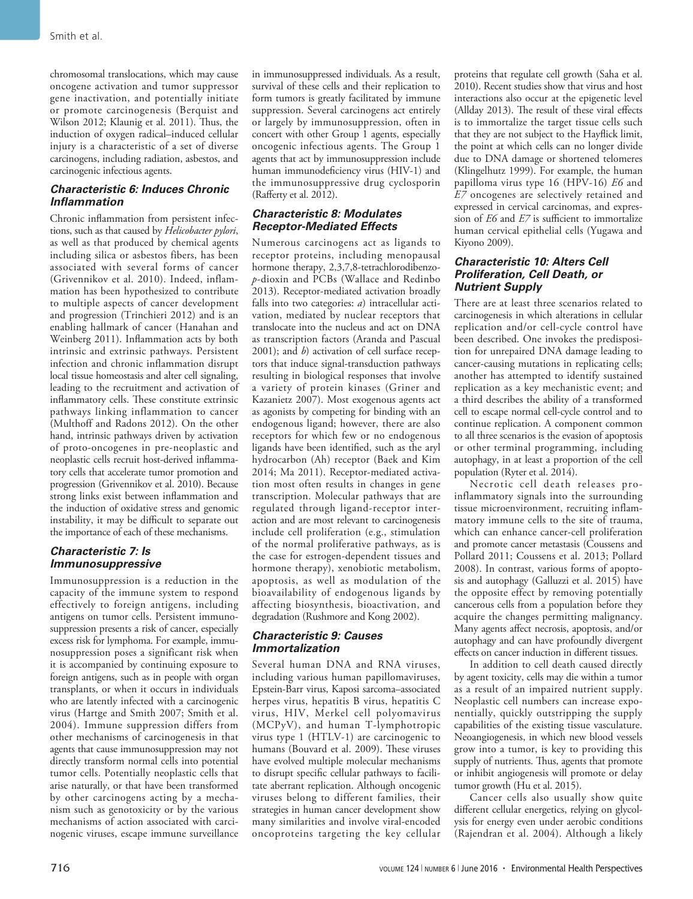chromosomal translocations, which may cause oncogene activation and tumor suppressor gene inactivation, and potentially initiate or promote carcinogenesis (Berquist and Wilson 2012; Klaunig et al. 2011). Thus, the induction of oxygen radical–induced cellular injury is a characteristic of a set of diverse carcinogens, including radiation, asbestos, and carcinogenic infectious agents.

### *Characteristic 6: Induces Chronic Inflammation*

Chronic inflammation from persistent infections, such as that caused by *Helicobacter pylori*, as well as that produced by chemical agents including silica or asbestos fibers, has been associated with several forms of cancer (Grivennikov et al. 2010). Indeed, inflammation has been hypothesized to contribute to multiple aspects of cancer development and progression (Trinchieri 2012) and is an enabling hallmark of cancer (Hanahan and Weinberg 2011). Inflammation acts by both intrinsic and extrinsic pathways. Persistent infection and chronic inflammation disrupt local tissue homeostasis and alter cell signaling, leading to the recruitment and activation of inflammatory cells. These constitute extrinsic pathways linking inflammation to cancer (Multhoff and Radons 2012). On the other hand, intrinsic pathways driven by activation of proto-oncogenes in pre-neoplastic and neoplastic cells recruit host-derived inflammatory cells that accelerate tumor promotion and progression (Grivennikov et al. 2010). Because strong links exist between inflammation and the induction of oxidative stress and genomic instability, it may be difficult to separate out the importance of each of these mechanisms.

## *Characteristic 7: Is Immunosuppressive*

Immunosuppression is a reduction in the capacity of the immune system to respond effectively to foreign antigens, including antigens on tumor cells. Persistent immunosuppression presents a risk of cancer, especially excess risk for lymphoma. For example, immunosuppression poses a significant risk when it is accompanied by continuing exposure to foreign antigens, such as in people with organ transplants, or when it occurs in individuals who are latently infected with a carcinogenic virus (Hartge and Smith 2007; Smith et al. 2004). Immune suppression differs from other mechanisms of carcinogenesis in that agents that cause immunosuppression may not directly transform normal cells into potential tumor cells. Potentially neoplastic cells that arise naturally, or that have been transformed by other carcinogens acting by a mechanism such as genotoxicity or by the various mechanisms of action associated with carcinogenic viruses, escape immune surveillance

in immunosuppressed individuals. As a result, survival of these cells and their replication to form tumors is greatly facilitated by immune suppression. Several carcinogens act entirely or largely by immunosuppression, often in concert with other Group 1 agents, especially oncogenic infectious agents. The Group 1 agents that act by immunosuppression include human immunodeficiency virus (HIV-1) and the immunosuppressive drug cyclosporin (Rafferty et al. 2012).

## *Characteristic 8: Modulates Receptor-Mediated Effects*

Numerous carcinogens act as ligands to receptor proteins, including menopausal hormone therapy, 2,3,7,8-tetrachlorodibenzo*p*-dioxin and PCBs (Wallace and Redinbo 2013). Receptor-mediated activation broadly falls into two categories: *a*) intracellular activation, mediated by nuclear receptors that translocate into the nucleus and act on DNA as transcription factors (Aranda and Pascual 2001); and *b*) activation of cell surface receptors that induce signal-transduction pathways resulting in biological responses that involve a variety of protein kinases (Griner and Kazanietz 2007). Most exogenous agents act as agonists by competing for binding with an endogenous ligand; however, there are also receptors for which few or no endogenous ligands have been identified, such as the aryl hydrocarbon (Ah) receptor (Baek and Kim 2014; Ma 2011). Receptor-mediated activation most often results in changes in gene transcription. Molecular pathways that are regulated through ligand-receptor interaction and are most relevant to carcinogenesis include cell proliferation (e.g., stimulation of the normal proliferative pathways, as is the case for estrogen-dependent tissues and hormone therapy), xenobiotic metabolism, apoptosis, as well as modulation of the bioavailability of endogenous ligands by affecting biosynthesis, bioactivation, and degradation (Rushmore and Kong 2002).

## *Characteristic 9: Causes Immortalization*

Several human DNA and RNA viruses, including various human papillomaviruses, Epstein-Barr virus, Kaposi sarcoma–associated herpes virus, hepatitis B virus, hepatitis C virus, HIV, Merkel cell polyomavirus (MCPyV), and human T-lymphotropic virus type 1 (HTLV-1) are carcinogenic to humans (Bouvard et al. 2009). These viruses have evolved multiple molecular mechanisms to disrupt specific cellular pathways to facilitate aberrant replication. Although oncogenic viruses belong to different families, their strategies in human cancer development show many similarities and involve viral-encoded oncoproteins targeting the key cellular

proteins that regulate cell growth (Saha et al. 2010). Recent studies show that virus and host interactions also occur at the epigenetic level (Allday 2013). The result of these viral effects is to immortalize the target tissue cells such that they are not subject to the Hayflick limit, the point at which cells can no longer divide due to DNA damage or shortened telomeres (Klingelhutz 1999). For example, the human papilloma virus type 16 (HPV-16) *E6* and *E7* oncogenes are selectively retained and expressed in cervical carcinomas, and expression of *E6* and *E7* is sufficient to immortalize human cervical epithelial cells (Yugawa and Kiyono 2009).

### *Characteristic 10: Alters Cell Proliferation, Cell Death, or Nutrient Supply*

There are at least three scenarios related to carcinogenesis in which alterations in cellular replication and/or cell-cycle control have been described. One invokes the predisposition for unrepaired DNA damage leading to cancer-causing mutations in replicating cells; another has attempted to identify sustained replication as a key mechanistic event; and a third describes the ability of a transformed cell to escape normal cell-cycle control and to continue replication. A component common to all three scenarios is the evasion of apoptosis or other terminal programming, including autophagy, in at least a proportion of the cell population (Ryter et al. 2014).

Necrotic cell death releases proinflammatory signals into the surrounding tissue microenvironment, recruiting inflammatory immune cells to the site of trauma, which can enhance cancer-cell proliferation and promote cancer metastasis (Coussens and Pollard 2011; Coussens et al. 2013; Pollard 2008). In contrast, various forms of apoptosis and autophagy (Galluzzi et al. 2015) have the opposite effect by removing potentially cancerous cells from a population before they acquire the changes permitting malignancy. Many agents affect necrosis, apoptosis, and/or autophagy and can have profoundly divergent effects on cancer induction in different tissues.

In addition to cell death caused directly by agent toxicity, cells may die within a tumor as a result of an impaired nutrient supply. Neoplastic cell numbers can increase exponentially, quickly outstripping the supply capabilities of the existing tissue vasculature. Neoangiogenesis, in which new blood vessels grow into a tumor, is key to providing this supply of nutrients. Thus, agents that promote or inhibit angiogenesis will promote or delay tumor growth (Hu et al. 2015).

Cancer cells also usually show quite different cellular energetics, relying on glycolysis for energy even under aerobic conditions (Rajendran et al. 2004). Although a likely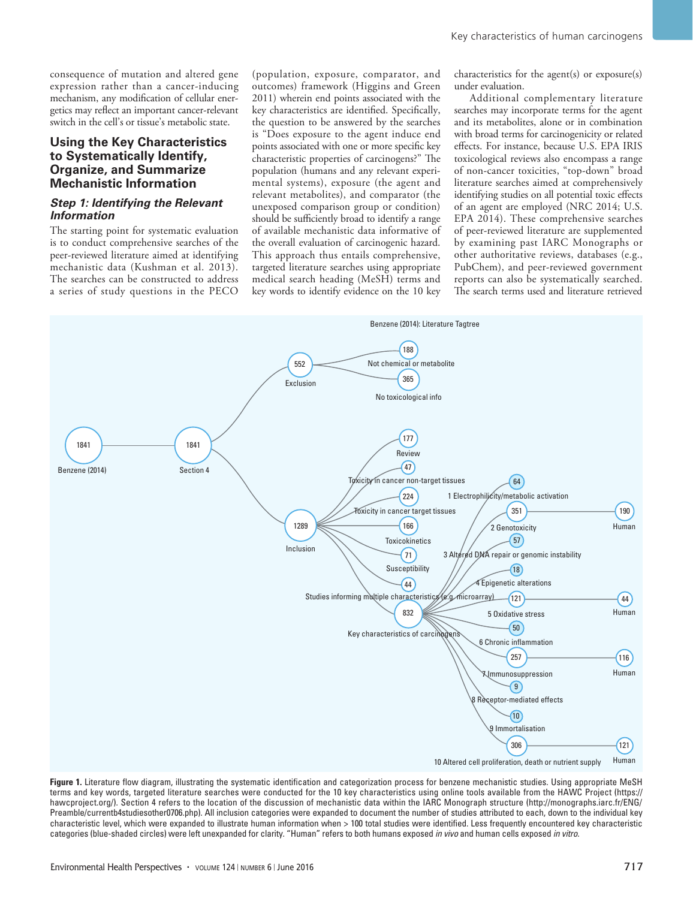consequence of mutation and altered gene expression rather than a cancer-inducing mechanism, any modification of cellular energetics may reflect an important cancer-relevant switch in the cell's or tissue's metabolic state.

## **Using the Key Characteristics to Systematically Identify, Organize, and Summarize Mechanistic Information**

#### *Step 1: Identifying the Relevant Information*

The starting point for systematic evaluation is to conduct comprehensive searches of the peer-reviewed literature aimed at identifying mechanistic data (Kushman et al. 2013). The searches can be constructed to address a series of study questions in the PECO

(population, exposure, comparator, and outcomes) framework (Higgins and Green 2011) wherein end points associated with the key characteristics are identified. Specifically, the question to be answered by the searches is "Does exposure to the agent induce end points associated with one or more specific key characteristic properties of carcinogens?" The population (humans and any relevant experimental systems), exposure (the agent and relevant metabolites), and comparator (the unexposed comparison group or condition) should be sufficiently broad to identify a range of available mechanistic data informative of the overall evaluation of carcinogenic hazard. This approach thus entails comprehensive, targeted literature searches using appropriate medical search heading (MeSH) terms and key words to identify evidence on the 10 key

characteristics for the agent(s) or exposure(s) under evaluation.

Additional complementary literature searches may incorporate terms for the agent and its metabolites, alone or in combination with broad terms for carcinogenicity or related effects. For instance, because U.S. EPA IRIS toxicological reviews also encompass a range of non-cancer toxicities, "top-down" broad literature searches aimed at comprehensively identifying studies on all potential toxic effects of an agent are employed (NRC 2014; U.S. EPA 2014). These comprehensive searches of peer-reviewed literature are supplemented by examining past IARC Monographs or other authoritative reviews, databases (e.g., PubChem), and peer-reviewed government reports can also be systematically searched. The search terms used and literature retrieved



Figure 1. Literature flow diagram, illustrating the systematic identification and categorization process for benzene mechanistic studies. Using appropriate MeSH terms and key words, targeted literature searches were conducted for the 10 key characteristics using online tools available from the HAWC Project (https:// hawcproject.org/). Section 4 refers to the location of the discussion of mechanistic data within the IARC Monograph structure (http://monographs.iarc.fr/ENG/ Preamble/currentb4studiesother0706.php). All inclusion categories were expanded to document the number of studies attributed to each, down to the individual key characteristic level, which were expanded to illustrate human information when > 100 total studies were identified. Less frequently encountered key characteristic categories (blue-shaded circles) were left unexpanded for clarity. "Human" refers to both humans exposed *in vivo* and human cells exposed *in vitro*.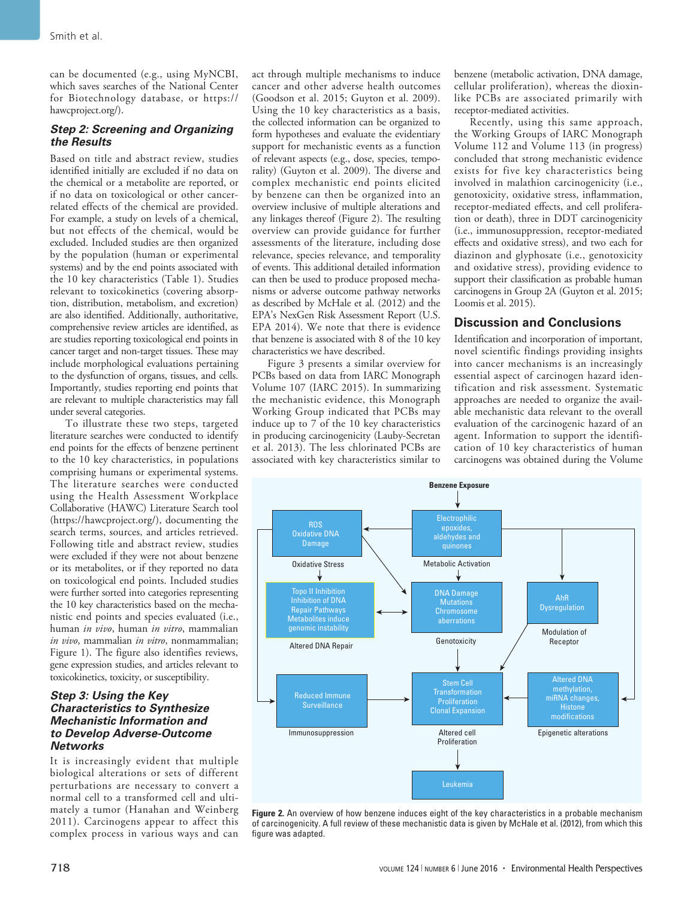can be documented (e.g., using MyNCBI, which saves searches of the National Center for Biotechnology database, or https:// hawcproject.org/).

### *Step 2: Screening and Organizing the Results*

Based on title and abstract review, studies identified initially are excluded if no data on the chemical or a metabolite are reported, or if no data on toxicological or other cancerrelated effects of the chemical are provided. For example, a study on levels of a chemical, but not effects of the chemical, would be excluded. Included studies are then organized by the population (human or experimental systems) and by the end points associated with the 10 key characteristics (Table 1). Studies relevant to toxicokinetics (covering absorption, distribution, metabolism, and excretion) are also identified. Additionally, authoritative, comprehensive review articles are identified, as are studies reporting toxicological end points in cancer target and non-target tissues. These may include morphological evaluations pertaining to the dysfunction of organs, tissues, and cells. Importantly, studies reporting end points that are relevant to multiple characteristics may fall under several categories.

To illustrate these two steps, targeted literature searches were conducted to identify end points for the effects of benzene pertinent to the 10 key characteristics, in populations comprising humans or experimental systems. The literature searches were conducted using the Health Assessment Workplace Collaborative (HAWC) Literature Search tool (https://hawcproject.org/), documenting the search terms, sources, and articles retrieved. Following title and abstract review, studies were excluded if they were not about benzene or its metabolites, or if they reported no data on toxicological end points. Included studies were further sorted into categories representing the 10 key characteristics based on the mechanistic end points and species evaluated (i.e., human *in vivo*, human *in vitro*, mammalian *in vivo*, mammalian *in vitro*, nonmammalian; Figure 1). The figure also identifies reviews, gene expression studies, and articles relevant to toxicokinetics, toxicity, or susceptibility.

#### *Step 3: Using the Key Characteristics to Synthesize Mechanistic Information and to Develop Adverse-Outcome Networks*

It is increasingly evident that multiple biological alterations or sets of different perturbations are necessary to convert a normal cell to a transformed cell and ultimately a tumor (Hanahan and Weinberg 2011). Carcinogens appear to affect this complex process in various ways and can

act through multiple mechanisms to induce cancer and other adverse health outcomes (Goodson et al. 2015; Guyton et al. 2009). Using the 10 key characteristics as a basis, the collected information can be organized to form hypotheses and evaluate the evidentiary support for mechanistic events as a function of relevant aspects (e.g., dose, species, temporality) (Guyton et al. 2009). The diverse and complex mechanistic end points elicited by benzene can then be organized into an overview inclusive of multiple alterations and any linkages thereof (Figure 2). The resulting overview can provide guidance for further assessments of the literature, including dose relevance, species relevance, and temporality of events. This additional detailed information can then be used to produce proposed mechanisms or adverse outcome pathway networks as described by McHale et al. (2012) and the EPA's NexGen Risk Assessment Report (U.S. EPA 2014). We note that there is evidence that benzene is associated with 8 of the 10 key characteristics we have described.

Figure 3 presents a similar overview for PCBs based on data from IARC Monograph Volume 107 (IARC 2015). In summarizing the mechanistic evidence, this Monograph Working Group indicated that PCBs may induce up to 7 of the 10 key characteristics in producing carcinogenicity (Lauby-Secretan et al. 2013). The less chlorinated PCBs are associated with key characteristics similar to benzene (metabolic activation, DNA damage, cellular proliferation), whereas the dioxinlike PCBs are associated primarily with receptor-mediated activities.

Recently, using this same approach, the Working Groups of IARC Monograph Volume 112 and Volume 113 (in progress) concluded that strong mechanistic evidence exists for five key characteristics being involved in malathion carcinogenicity (i.e., genotoxicity, oxidative stress, inflammation, receptor-mediated effects, and cell proliferation or death), three in DDT carcinogenicity (i.e., immunosuppression, receptor-mediated effects and oxidative stress), and two each for diazinon and glyphosate (i.e., genotoxicity and oxidative stress), providing evidence to support their classification as probable human carcinogens in Group 2A (Guyton et al. 2015; Loomis et al. 2015).

# **Discussion and Conclusions**

Identification and incorporation of important, novel scientific findings providing insights into cancer mechanisms is an increasingly essential aspect of carcinogen hazard identification and risk assessment. Systematic approaches are needed to organize the available mechanistic data relevant to the overall evaluation of the carcinogenic hazard of an agent. Information to support the identification of 10 key characteristics of human carcinogens was obtained during the Volume



**Figure 2.** An overview of how benzene induces eight of the key characteristics in a probable mechanism of carcinogenicity. A full review of these mechanistic data is given by McHale et al. (2012), from which this figure was adapted.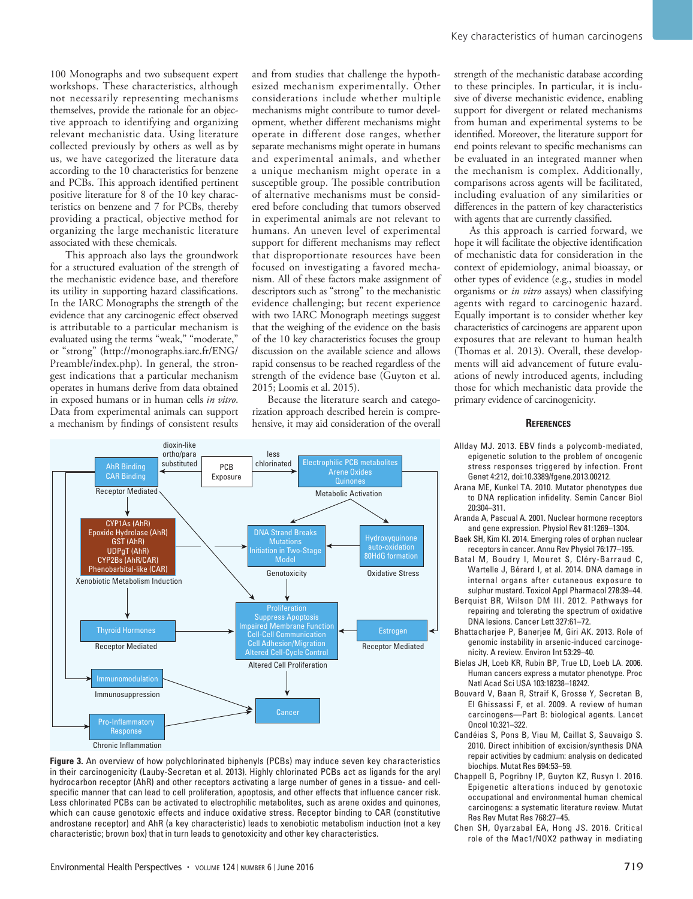100 Monographs and two subsequent expert workshops. These characteristics, although not necessarily representing mechanisms themselves, provide the rationale for an objective approach to identifying and organizing relevant mechanistic data. Using literature collected previously by others as well as by us, we have categorized the literature data according to the 10 characteristics for benzene and PCBs. This approach identified pertinent positive literature for 8 of the 10 key characteristics on benzene and 7 for PCBs, thereby providing a practical, objective method for organizing the large mechanistic literature associated with these chemicals.

This approach also lays the groundwork for a structured evaluation of the strength of the mechanistic evidence base, and therefore its utility in supporting hazard classifications. In the IARC Monographs the strength of the evidence that any carcinogenic effect observed is attributable to a particular mechanism is evaluated using the terms "weak," "moderate," or "strong" (http://monographs.iarc.fr/ENG/ Preamble/index.php). In general, the strongest indications that a particular mechanism operates in humans derive from data obtained in exposed humans or in human cells *in vitro*. Data from experimental animals can support a mechanism by findings of consistent results and from studies that challenge the hypothesized mechanism experimentally. Other considerations include whether multiple mechanisms might contribute to tumor development, whether different mechanisms might operate in different dose ranges, whether separate mechanisms might operate in humans and experimental animals, and whether a unique mechanism might operate in a susceptible group. The possible contribution of alternative mechanisms must be considered before concluding that tumors observed in experimental animals are not relevant to humans. An uneven level of experimental support for different mechanisms may reflect that disproportionate resources have been focused on investigating a favored mechanism. All of these factors make assignment of descriptors such as "strong" to the mechanistic evidence challenging; but recent experience with two IARC Monograph meetings suggest that the weighing of the evidence on the basis of the 10 key characteristics focuses the group discussion on the available science and allows rapid consensus to be reached regardless of the strength of the evidence base (Guyton et al. 2015; Loomis et al. 2015).

Because the literature search and categorization approach described herein is comprehensive, it may aid consideration of the overall



**Figure 3.** An overview of how polychlorinated biphenyls (PCBs) may induce seven key characteristics in their carcinogenicity (Lauby-Secretan et al. 2013). Highly chlorinated PCBs act as ligands for the aryl hydrocarbon receptor (AhR) and other receptors activating a large number of genes in a tissue- and cellspecific manner that can lead to cell proliferation, apoptosis, and other effects that influence cancer risk. Less chlorinated PCBs can be activated to electrophilic metabolites, such as arene oxides and quinones, which can cause genotoxic effects and induce oxidative stress. Receptor binding to CAR (constitutive androstane receptor) and AhR (a key characteristic) leads to xenobiotic metabolism induction (not a key characteristic; brown box) that in turn leads to genotoxicity and other key characteristics.

strength of the mechanistic database according to these principles. In particular, it is inclusive of diverse mechanistic evidence, enabling support for divergent or related mechanisms from human and experimental systems to be identified. Moreover, the literature support for end points relevant to specific mechanisms can be evaluated in an integrated manner when the mechanism is complex. Additionally, comparisons across agents will be facilitated, including evaluation of any similarities or differences in the pattern of key characteristics with agents that are currently classified.

As this approach is carried forward, we hope it will facilitate the objective identification of mechanistic data for consideration in the context of epidemiology, animal bioassay, or other types of evidence (e.g., studies in model organisms or *in vitro* assays) when classifying agents with regard to carcinogenic hazard. Equally important is to consider whether key characteristics of carcinogens are apparent upon exposures that are relevant to human health (Thomas et al. 2013). Overall, these developments will aid advancement of future evaluations of newly introduced agents, including those for which mechanistic data provide the primary evidence of carcinogenicity.

#### **References**

- Allday MJ. 2013. EBV finds a polycomb-mediated, epigenetic solution to the problem of oncogenic stress responses triggered by infection. Front Genet 4:212, doi:10.3389/fgene.2013.00212.
- Arana ME, Kunkel TA. 2010. Mutator phenotypes due to DNA replication infidelity. Semin Cancer Biol 20:304–311.
- Aranda A, Pascual A. 2001. Nuclear hormone receptors and gene expression. Physiol Rev 81:1269–1304.
- Baek SH, Kim KI. 2014. Emerging roles of orphan nuclear receptors in cancer. Annu Rev Physiol 76:177–195.
- Batal M, Boudry I, Mouret S, Cléry-Barraud C, Wartelle J, Bérard I, et al. 2014. DNA damage in internal organs after cutaneous exposure to sulphur mustard. Toxicol Appl Pharmacol 278:39–44.
- Berquist BR, Wilson DM III. 2012. Pathways for repairing and tolerating the spectrum of oxidative DNA lesions. Cancer Lett 327:61–72.
- Bhattacharjee P, Banerjee M, Giri AK. 2013. Role of genomic instability in arsenic-induced carcinogenicity. A review. Environ Int 53:29–40.
- Bielas JH, Loeb KR, Rubin BP, True LD, Loeb LA. 2006. Human cancers express a mutator phenotype. Proc Natl Acad Sci USA 103:18238–18242.
- Bouvard V, Baan R, Straif K, Grosse Y, Secretan B, El Ghissassi F, et al. 2009. A review of human carcinogens—Part B: biological agents. Lancet Oncol 10:321–322.
- Candéias S, Pons B, Viau M, Caillat S, Sauvaigo S. 2010. Direct inhibition of excision/synthesis DNA repair activities by cadmium: analysis on dedicated biochips. Mutat Res 694:53–59.
- Chappell G, Pogribny IP, Guyton KZ, Rusyn I. 2016. Epigenetic alterations induced by genotoxic occupational and environmental human chemical carcinogens: a systematic literature review. Mutat Res Rev Mutat Res 768:27–45.
- Chen SH, Oyarzabal EA, Hong JS. 2016. Critical role of the Mac1/NOX2 pathway in mediating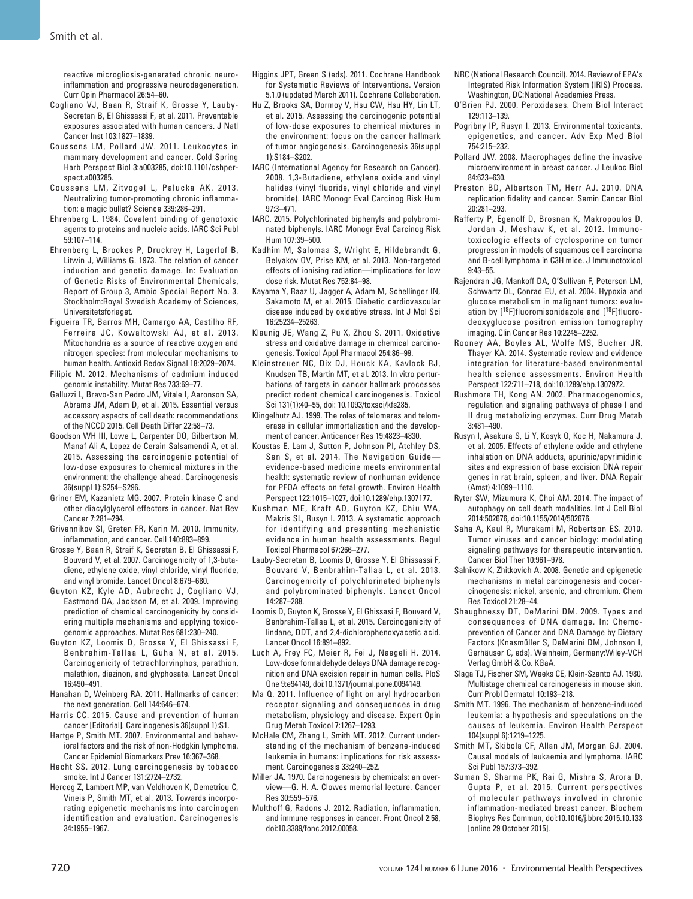reactive microgliosis-generated chronic neuroinflammation and progressive neurodegeneration. Curr Opin Pharmacol 26:54–60.

- Cogliano VJ, Baan R, Straif K, Grosse Y, Lauby-Secretan B, El Ghissassi F, et al. 2011. Preventable exposures associated with human cancers. J Natl Cancer Inst 103:1827–1839.
- Coussens LM, Pollard JW. 2011. Leukocytes in mammary development and cancer. Cold Spring Harb Perspect Biol 3:a003285, doi:10.1101/cshperspect.a003285.
- Coussens LM, Zitvogel L, Palucka AK. 2013. Neutralizing tumor-promoting chronic inflammation: a magic bullet? Science 339:286–291.
- Ehrenberg L. 1984. Covalent binding of genotoxic agents to proteins and nucleic acids. IARC Sci Publ 59:107–114.
- Ehrenberg L, Brookes P, Druckrey H, Lagerlof B, Litwin J, Williams G. 1973. The relation of cancer induction and genetic damage. In: Evaluation of Genetic Risks of Environmental Chemicals, Report of Group 3, Ambio Special Report No. 3. Stockholm:Royal Swedish Academy of Sciences, Universitetsforlaget.
- Figueira TR, Barros MH, Camargo AA, Castilho RF, Ferreira JC, Kowaltowski AJ, et al. 2013. Mitochondria as a source of reactive oxygen and nitrogen species: from molecular mechanisms to human health. Antioxid Redox Signal 18:2029–2074.
- Filipic M. 2012. Mechanisms of cadmium induced genomic instability. Mutat Res 733:69–77.
- Galluzzi L, Bravo-San Pedro JM, Vitale I, Aaronson SA, Abrams JM, Adam D, et al. 2015. Essential versus accessory aspects of cell death: recommendations of the NCCD 2015. Cell Death Differ 22:58–73.
- Goodson WH III, Lowe L, Carpenter DO, Gilbertson M, Manaf Ali A, Lopez de Cerain Salsamendi A, et al. 2015. Assessing the carcinogenic potential of low-dose exposures to chemical mixtures in the environment: the challenge ahead. Carcinogenesis 36(suppl 1):S254–S296.
- Griner EM, Kazanietz MG. 2007. Protein kinase C and other diacylglycerol effectors in cancer. Nat Rev Cancer 7:281–294.
- Grivennikov SI, Greten FR, Karin M. 2010. Immunity, inflammation, and cancer. Cell 140:883–899.
- Grosse Y, Baan R, Straif K, Secretan B, El Ghissassi F, Bouvard V, et al. 2007. Carcinogenicity of 1,3-butadiene, ethylene oxide, vinyl chloride, vinyl fluoride, and vinyl bromide. Lancet Oncol 8:679–680.
- Guyton KZ, Kyle AD, Aubrecht J, Cogliano VJ, Eastmond DA, Jackson M, et al. 2009. Improving prediction of chemical carcinogenicity by considering multiple mechanisms and applying toxicogenomic approaches. Mutat Res 681:230–240.
- Guyton KZ, Loomis D, Grosse Y, El Ghissassi F, Benbrahim-Tallaa L, Guha N, et al. 2015. Carcinogenicity of tetrachlorvinphos, parathion, malathion, diazinon, and glyphosate. Lancet Oncol 16:490–491.
- Hanahan D, Weinberg RA. 2011. Hallmarks of cancer: the next generation. Cell 144:646–674.
- Harris CC. 2015. Cause and prevention of human cancer [Editorial]. Carcinogenesis 36(suppl 1):S1.
- Hartge P, Smith MT. 2007. Environmental and behavioral factors and the risk of non-Hodgkin lymphoma. Cancer Epidemiol Biomarkers Prev 16:367–368.
- Hecht SS. 2012. Lung carcinogenesis by tobacco smoke. Int J Cancer 131:2724–2732.
- Herceg Z, Lambert MP, van Veldhoven K, Demetriou C, Vineis P, Smith MT, et al. 2013. Towards incorporating epigenetic mechanisms into carcinogen identification and evaluation. Carcinogenesis 34:1955–1967.
- Higgins JPT, Green S (eds). 2011. Cochrane Handbook for Systematic Reviews of Interventions. Version 5.1.0 (updated March 2011). Cochrane Collaboration.
- Hu Z, Brooks SA, Dormoy V, Hsu CW, Hsu HY, Lin LT, et al. 2015. Assessing the carcinogenic potential of low-dose exposures to chemical mixtures in the environment: focus on the cancer hallmark of tumor angiogenesis. Carcinogenesis 36(suppl 1):S184–S202.
- IARC (International Agency for Research on Cancer). 2008. 1,3-Butadiene, ethylene oxide and vinyl halides (vinyl fluoride, vinyl chloride and vinyl bromide). IARC Monogr Eval Carcinog Risk Hum 97:3–471.
- IARC. 2015. Polychlorinated biphenyls and polybrominated biphenyls. IARC Monogr Eval Carcinog Risk Hum 107:39–500.
- Kadhim M, Salomaa S, Wright E, Hildebrandt G, Belyakov OV, Prise KM, et al. 2013. Non-targeted effects of ionising radiation—implications for low dose risk. Mutat Res 752:84–98.
- Kayama Y, Raaz U, Jagger A, Adam M, Schellinger IN, Sakamoto M, et al. 2015. Diabetic cardiovascular disease induced by oxidative stress. Int J Mol Sci 16:25234–25263.
- Klaunig JE, Wang Z, Pu X, Zhou S. 2011. Oxidative stress and oxidative damage in chemical carcinogenesis. Toxicol Appl Pharmacol 254:86–99.
- Kleinstreuer NC, Dix DJ, Houck KA, Kavlock RJ, Knudsen TB, Martin MT, et al. 2013. In vitro perturbations of targets in cancer hallmark processes predict rodent chemical carcinogenesis. Toxicol Sci 131(1):40–55, doi: 10.1093/toxsci/kfs285.
- Klingelhutz AJ. 1999. The roles of telomeres and telomerase in cellular immortalization and the development of cancer. Anticancer Res 19:4823–4830.
- Koustas E, Lam J, Sutton P, Johnson PI, Atchley DS, Sen S, et al. 2014. The Navigation Guideevidence-based medicine meets environmental health: systematic review of nonhuman evidence for PFOA effects on fetal growth. Environ Health Perspect 122:1015–1027, doi:10.1289/ehp.1307177.
- Kushman ME, Kraft AD, Guyton KZ, Chiu WA, Makris SL, Rusyn I. 2013. A systematic approach for identifying and presenting mechanistic evidence in human health assessments. Regul Toxicol Pharmacol 67:266–277.
- Lauby-Secretan B, Loomis D, Grosse Y, El Ghissassi F, Bouvard V, Benbrahim-Tallaa L, et al. 2013. Carcinogenicity of polychlorinated biphenyls and polybrominated biphenyls. Lancet Oncol 14:287–288.
- Loomis D, Guyton K, Grosse Y, El Ghissasi F, Bouvard V, Benbrahim-Tallaa L, et al. 2015. Carcinogenicity of lindane, DDT, and 2,4-dichlorophenoxyacetic acid. Lancet Oncol 16:891–892.
- Luch A, Frey FC, Meier R, Fei J, Naegeli H. 2014. Low-dose formaldehyde delays DNA damage recognition and DNA excision repair in human cells. PloS One 9:e94149, doi:10.1371/journal.pone.0094149.
- Ma Q. 2011. Influence of light on aryl hydrocarbon receptor signaling and consequences in drug metabolism, physiology and disease. Expert Opin Drug Metab Toxicol 7:1267–1293.
- McHale CM, Zhang L, Smith MT. 2012. Current understanding of the mechanism of benzene-induced leukemia in humans: implications for risk assessment. Carcinogenesis 33:240–252.
- Miller JA. 1970. Carcinogenesis by chemicals: an overview—G. H. A. Clowes memorial lecture. Cancer Res 30:559–576.
- Multhoff G, Radons J. 2012. Radiation, inflammation, and immune responses in cancer. Front Oncol 2:58, doi:10.3389/fonc.2012.00058.
- NRC (National Research Council). 2014. Review of EPA's Integrated Risk Information System (IRIS) Process. Washington, DC:National Academies Press.
- O'Brien PJ. 2000. Peroxidases. Chem Biol Interact 129:113–139.
- Pogribny IP, Rusyn I. 2013. Environmental toxicants, epigenetics, and cancer. Adv Exp Med Biol 754:215–232.
- Pollard JW. 2008. Macrophages define the invasive microenvironment in breast cancer. J Leukoc Biol 84:623–630.
- Preston BD, Albertson TM, Herr AJ. 2010. DNA replication fidelity and cancer. Semin Cancer Biol 20:281–293.
- Rafferty P, Egenolf D, Brosnan K, Makropoulos D, Jordan J, Meshaw K, et al. 2012. Immunotoxicologic effects of cyclosporine on tumor progression in models of squamous cell carcinoma and B-cell lymphoma in C3H mice. J Immunotoxicol 9:43–55.
- Rajendran JG, Mankoff DA, O'Sullivan F, Peterson LM, Schwartz DL, Conrad EU, et al. 2004. Hypoxia and glucose metabolism in malignant tumors: evaluation by [18F]fluoromisonidazole and [18F]fluorodeoxyglucose positron emission tomography imaging. Clin Cancer Res 10:2245–2252.
- Rooney AA, Boyles AL, Wolfe MS, Bucher JR, Thayer KA. 2014. Systematic review and evidence integration for literature-based environmental health science assessments. Environ Health Perspect 122:711–718, doi:10.1289/ehp.1307972.
- Rushmore TH, Kong AN. 2002. Pharmacogenomics, regulation and signaling pathways of phase I and II drug metabolizing enzymes. Curr Drug Metab 3:481–490.
- Rusyn I, Asakura S, Li Y, Kosyk O, Koc H, Nakamura J, et al. 2005. Effects of ethylene oxide and ethylene inhalation on DNA adducts, apurinic/apyrimidinic sites and expression of base excision DNA repair genes in rat brain, spleen, and liver. DNA Repair (Amst) 4:1099–1110.
- Ryter SW, Mizumura K, Choi AM. 2014. The impact of autophagy on cell death modalities. Int J Cell Biol 2014:502676, doi:10.1155/2014/502676.
- Saha A, Kaul R, Murakami M, Robertson ES. 2010. Tumor viruses and cancer biology: modulating signaling pathways for therapeutic intervention. Cancer Biol Ther 10:961–978.
- Salnikow K, Zhitkovich A. 2008. Genetic and epigenetic mechanisms in metal carcinogenesis and cocarcinogenesis: nickel, arsenic, and chromium. Chem Res Toxicol 21:28–44.
- Shaughnessy DT, DeMarini DM. 2009. Types and consequences of DNA damage. In: Chemoprevention of Cancer and DNA Damage by Dietary Factors (Knasmüller S, DeMarini DM, Johnson I, Gerhäuser C, eds). Weinheim, Germany:Wiley-VCH Verlag GmbH & Co. KGaA.
- Slaga TJ, Fischer SM, Weeks CE, Klein-Szanto AJ. 1980. Multistage chemical carcinogenesis in mouse skin. Curr Probl Dermatol 10:193–218.
- Smith MT. 1996. The mechanism of benzene-induced leukemia: a hypothesis and speculations on the causes of leukemia. Environ Health Perspect 104(suppl 6):1219–1225.
- Smith MT, Skibola CF, Allan JM, Morgan GJ. 2004. Causal models of leukaemia and lymphoma. IARC Sci Publ 157:373–392.
- Suman S, Sharma PK, Rai G, Mishra S, Arora D, Gupta P, et al. 2015. Current perspectives of molecular pathways involved in chronic inflammation-mediated breast cancer. Biochem Biophys Res Commun, doi:10.1016/j.bbrc.2015.10.133 [online 29 October 2015].